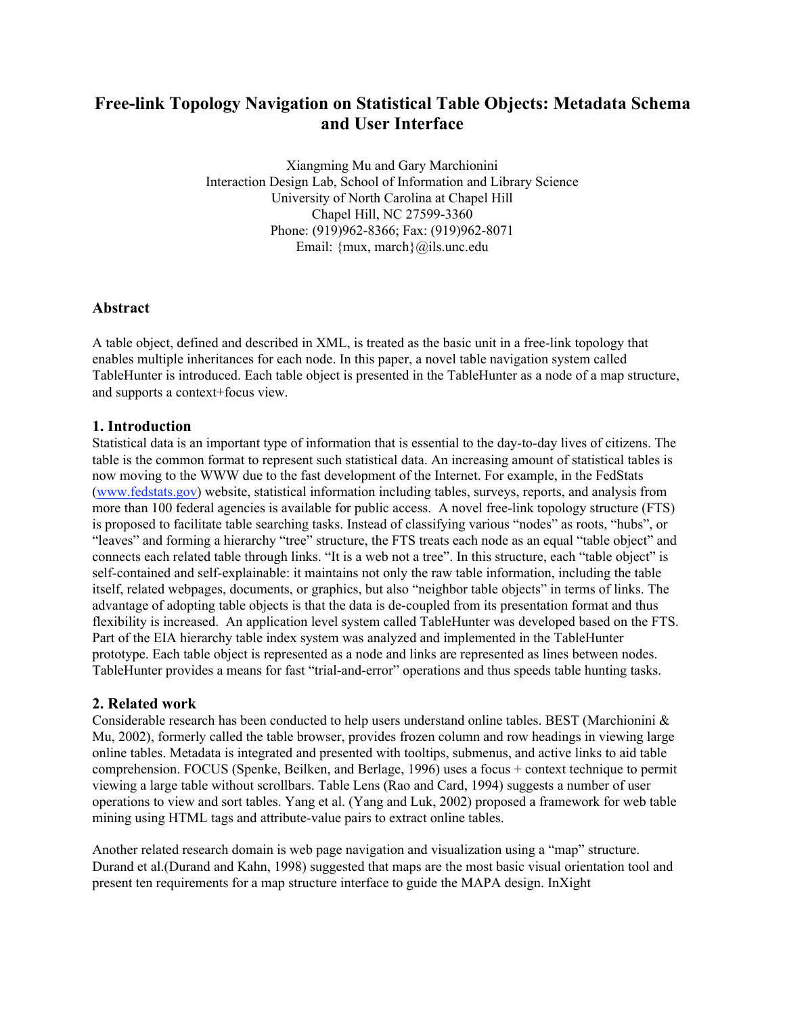# **Free-link Topology Navigation on Statistical Table Objects: Metadata Schema and User Interface**

Xiangming Mu and Gary Marchionini Interaction Design Lab, School of Information and Library Science University of North Carolina at Chapel Hill Chapel Hill, NC 27599-3360 Phone: (919)962-8366; Fax: (919)962-8071 Email: {mux, march}@ils.unc.edu

#### **Abstract**

A table object, defined and described in XML, is treated as the basic unit in a free-link topology that enables multiple inheritances for each node. In this paper, a novel table navigation system called TableHunter is introduced. Each table object is presented in the TableHunter as a node of a map structure, and supports a context+focus view.

#### **1. Introduction**

Statistical data is an important type of information that is essential to the day-to-day lives of citizens. The table is the common format to represent such statistical data. An increasing amount of statistical tables is now moving to the WWW due to the fast development of the Internet. For example, in the FedStats (www.fedstats.gov) website, statistical information including tables, surveys, reports, and analysis from more than 100 federal agencies is available for public access. A novel free-link topology structure (FTS) is proposed to facilitate table searching tasks. Instead of classifying various "nodes" as roots, "hubs", or "leaves" and forming a hierarchy "tree" structure, the FTS treats each node as an equal "table object" and connects each related table through links. "It is a web not a tree". In this structure, each "table object" is self-contained and self-explainable: it maintains not only the raw table information, including the table itself, related webpages, documents, or graphics, but also "neighbor table objects" in terms of links. The advantage of adopting table objects is that the data is de-coupled from its presentation format and thus flexibility is increased. An application level system called TableHunter was developed based on the FTS. Part of the EIA hierarchy table index system was analyzed and implemented in the TableHunter prototype. Each table object is represented as a node and links are represented as lines between nodes. TableHunter provides a means for fast "trial-and-error" operations and thus speeds table hunting tasks.

#### **2. Related work**

Considerable research has been conducted to help users understand online tables. BEST (Marchionini & Mu, 2002), formerly called the table browser, provides frozen column and row headings in viewing large online tables. Metadata is integrated and presented with tooltips, submenus, and active links to aid table comprehension. FOCUS (Spenke, Beilken, and Berlage, 1996) uses a focus + context technique to permit viewing a large table without scrollbars. Table Lens (Rao and Card, 1994) suggests a number of user operations to view and sort tables. Yang et al. (Yang and Luk, 2002) proposed a framework for web table mining using HTML tags and attribute-value pairs to extract online tables.

Another related research domain is web page navigation and visualization using a "map" structure. Durand et al.(Durand and Kahn, 1998) suggested that maps are the most basic visual orientation tool and present ten requirements for a map structure interface to guide the MAPA design. InXight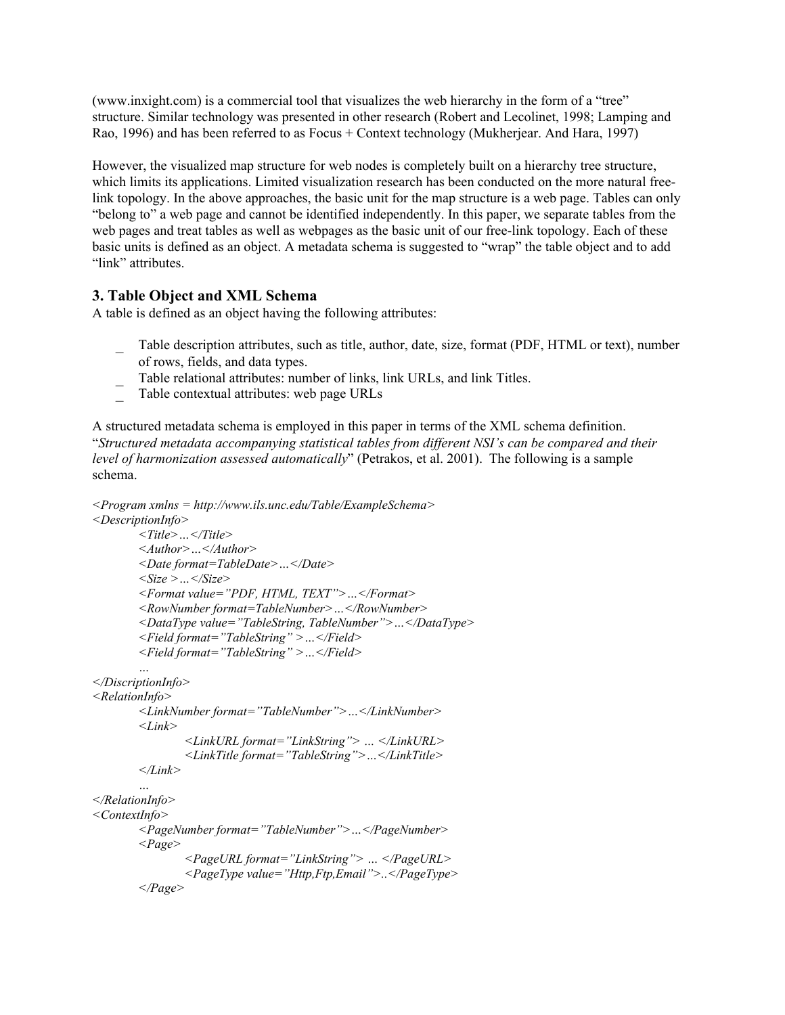(www.inxight.com) is a commercial tool that visualizes the web hierarchy in the form of a "tree" structure. Similar technology was presented in other research (Robert and Lecolinet, 1998; Lamping and Rao, 1996) and has been referred to as Focus + Context technology (Mukherjear. And Hara, 1997)

However, the visualized map structure for web nodes is completely built on a hierarchy tree structure, which limits its applications. Limited visualization research has been conducted on the more natural freelink topology. In the above approaches, the basic unit for the map structure is a web page. Tables can only "belong to" a web page and cannot be identified independently. In this paper, we separate tables from the web pages and treat tables as well as webpages as the basic unit of our free-link topology. Each of these basic units is defined as an object. A metadata schema is suggested to "wrap" the table object and to add "link" attributes.

#### **3. Table Object and XML Schema**

A table is defined as an object having the following attributes:

- \_ Table description attributes, such as title, author, date, size, format (PDF, HTML or text), number of rows, fields, and data types.
- \_ Table relational attributes: number of links, link URLs, and link Titles.
- \_ Table contextual attributes: web page URLs

A structured metadata schema is employed in this paper in terms of the XML schema definition. "*Structured metadata accompanying statistical tables from different NSI's can be compared and their level of harmonization assessed automatically*" (Petrakos, et al. 2001). The following is a sample schema.

```
<Program xmlns = http://www.ils.unc.edu/Table/ExampleSchema>
<DescriptionInfo>
       <Title>…</Title>
       <Author>…</Author>
       <Date format=TableDate>…</Date>
       <Size >…</Size>
       <Format value="PDF, HTML, TEXT">…</Format>
       <RowNumber format=TableNumber>…</RowNumber>
       <DataType value="TableString, TableNumber">…</DataType>
       <Field format="TableString" >…</Field>
       <Field format="TableString" >…</Field>
       …
</DiscriptionInfo>
<RelationInfo>
       <LinkNumber format="TableNumber">…</LinkNumber>
       <Link>
               <LinkURL format="LinkString"> … </LinkURL>
               <LinkTitle format="TableString">…</LinkTitle>
       </Link>
       …
</RelationInfo>
<ContextInfo>
       <PageNumber format="TableNumber">…</PageNumber>
       <Page>
               <PageURL format="LinkString"> … </PageURL>
               <PageType value="Http,Ftp,Email">..</PageType>
       </Page>
```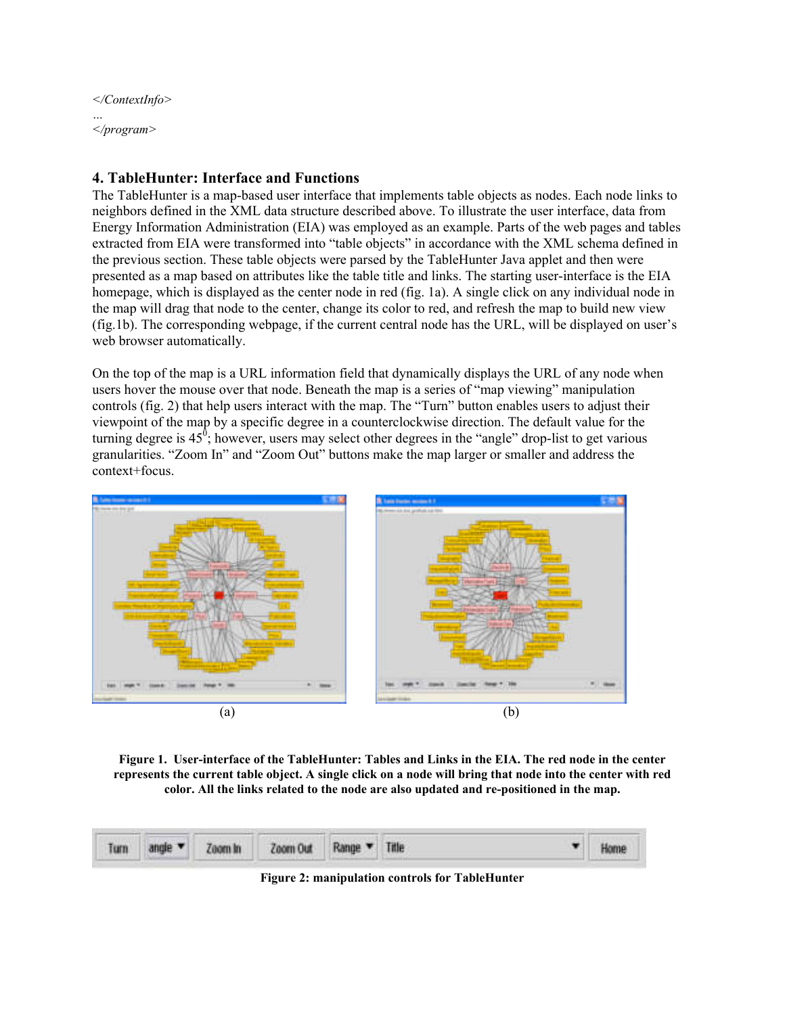*</ContextInfo> … </program>*

### **4. TableHunter: Interface and Functions**

The TableHunter is a map-based user interface that implements table objects as nodes. Each node links to neighbors defined in the XML data structure described above. To illustrate the user interface, data from Energy Information Administration (EIA) was employed as an example. Parts of the web pages and tables extracted from EIA were transformed into "table objects" in accordance with the XML schema defined in the previous section. These table objects were parsed by the TableHunter Java applet and then were presented as a map based on attributes like the table title and links. The starting user-interface is the EIA homepage, which is displayed as the center node in red (fig. 1a). A single click on any individual node in the map will drag that node to the center, change its color to red, and refresh the map to build new view (fig.1b). The corresponding webpage, if the current central node has the URL, will be displayed on user's web browser automatically.

On the top of the map is a URL information field that dynamically displays the URL of any node when users hover the mouse over that node. Beneath the map is a series of "map viewing" manipulation controls (fig. 2) that help users interact with the map. The "Turn" button enables users to adjust their viewpoint of the map by a specific degree in a counterclockwise direction. The default value for the turning degree is  $45^{\degree}$ ; however, users may select other degrees in the "angle" drop-list to get various granularities. "Zoom In" and "Zoom Out" buttons make the map larger or smaller and address the context+focus.



**Figure 1. User-interface of the TableHunter: Tables and Links in the EIA. The red node in the center represents the current table object. A single click on a node will bring that node into the center with red color. All the links related to the node are also updated and re-positioned in the map.**



**Figure 2: manipulation controls for TableHunter**